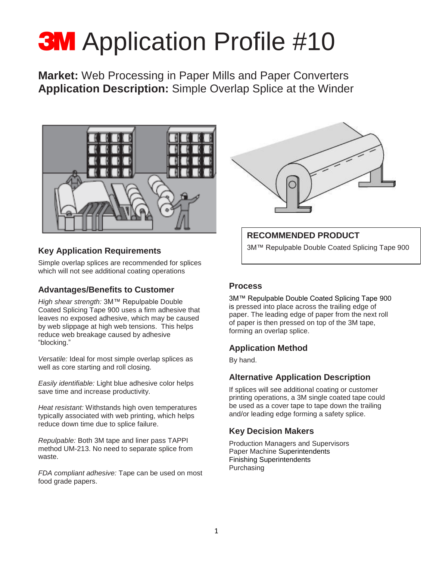# **3M** Application Profile #10

**Market:** Web Processing in Paper Mills and Paper Converters **Application Description:** Simple Overlap Splice at the Winder



#### **Key Application Requirements**

Simple overlap splices are recommended for splices which will not see additional coating operations

### **Advantages/Benefits to Customer**

*High shear strength:* 3M™ Repulpable Double Coated Splicing Tape 900 uses a firm adhesive that leaves no exposed adhesive, which may be caused by web slippage at high web tensions. This helps reduce web breakage caused by adhesive "blocking."

*Versatile:* Ideal for most simple overlap splices as well as core starting and roll closing.

*Easily identifiable:* Light blue adhesive color helps save time and increase productivity.

*Heat resistant:* Withstands high oven temperatures typically associated with web printing, which helps reduce down time due to splice failure.

*Repulpable:* Both 3M tape and liner pass TAPPI method UM-213. No need to separate splice from waste.

*FDA compliant adhesive:* Tape can be used on most food grade papers.



#### **RECOMMENDED PRODUCT**

3M™ Repulpable Double Coated Splicing Tape 900

#### **Process**

3M™ Repulpable Double Coated Splicing Tape 900 is pressed into place across the trailing edge of paper. The leading edge of paper from the next roll of paper is then pressed on top of the 3M tape, forming an overlap splice.

#### **Application Method**

By hand.

### **Alternative Application Description**

If splices will see additional coating or customer printing operations, a 3M single coated tape could be used as a cover tape to tape down the trailing and/or leading edge forming a safety splice.

### **Key Decision Makers**

Production Managers and Supervisors Paper Machine Superintendents Finishing Superintendents Purchasing